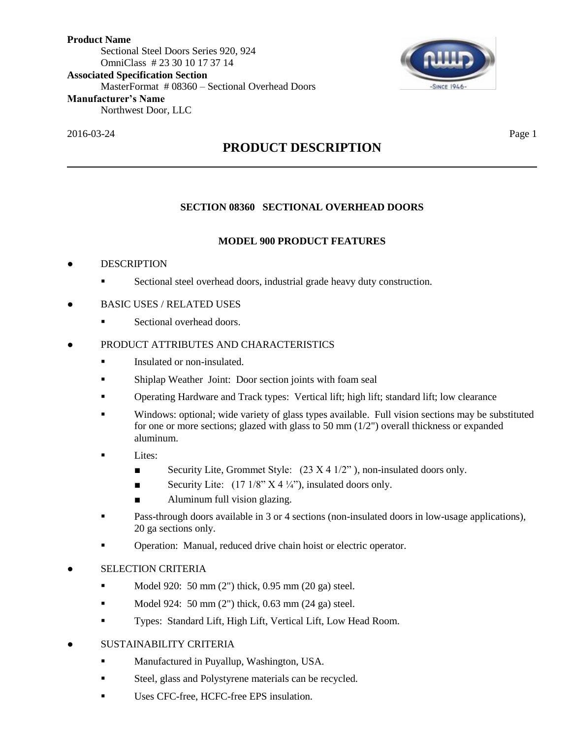

# SINCE 1946

# **PRODUCT DESCRIPTION**

# **SECTION 08360 SECTIONAL OVERHEAD DOORS**

# **MODEL 900 PRODUCT FEATURES**

# **DESCRIPTION**

- Sectional steel overhead doors, industrial grade heavy duty construction.
- BASIC USES / RELATED USES
	- **Sectional overhead doors.**

## PRODUCT ATTRIBUTES AND CHARACTERISTICS

- **Insulated or non-insulated.**
- Shiplap Weather Joint: Door section joints with foam seal
- Operating Hardware and Track types: Vertical lift; high lift; standard lift; low clearance
- Windows: optional; wide variety of glass types available. Full vision sections may be substituted for one or more sections; glazed with glass to 50 mm  $(1/2")$  overall thickness or expanded aluminum.
- Lites:
	- Security Lite, Grommet Style:  $(23 \text{ X } 4 \frac{1}{2})$ , non-insulated doors only.
	- Security Lite:  $(17 \frac{1}{8} \times 4 \frac{1}{4})$ , insulated doors only.
	- Aluminum full vision glazing.
- **Pass-through doors available in 3 or 4 sections (non-insulated doors in low-usage applications),** 20 ga sections only.
- **•** Operation: Manual, reduced drive chain hoist or electric operator.

## **SELECTION CRITERIA**

- Model 920: 50 mm  $(2)$  thick, 0.95 mm  $(20 \text{ ga})$  steel.
- Model 924: 50 mm  $(2)$ " thick, 0.63 mm  $(24 \text{ ga})$  steel.
- Types: Standard Lift, High Lift, Vertical Lift, Low Head Room.

## SUSTAINABILITY CRITERIA

- **Manufactured in Puyallup, Washington, USA.**
- Steel, glass and Polystyrene materials can be recycled.
- Uses CFC-free, HCFC-free EPS insulation.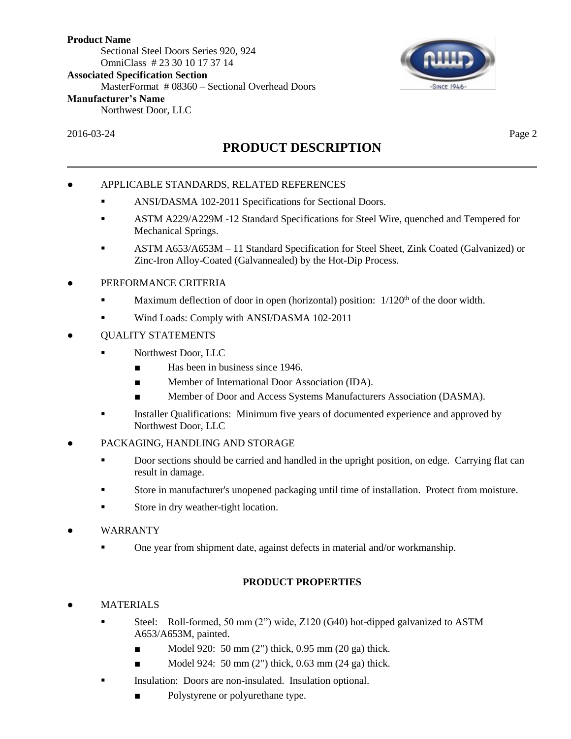**Product Name** Sectional Steel Doors Series 920, 924 OmniClass # 23 30 10 17 37 14 **Associated Specification Section** MasterFormat # 08360 – Sectional Overhead Doors



**Manufacturer's Name**

Northwest Door, LLC

2016-03-24 Page 2

# **PRODUCT DESCRIPTION**

- APPLICABLE STANDARDS, RELATED REFERENCES
	- **ANSI/DASMA 102-2011 Specifications for Sectional Doors.**
	- ASTM A229/A229M -12 Standard Specifications for Steel Wire, quenched and Tempered for Mechanical Springs.
	- ASTM A653/A653M 11 Standard Specification for Steel Sheet, Zink Coated (Galvanized) or Zinc-Iron Alloy-Coated (Galvannealed) by the Hot-Dip Process.

# PERFORMANCE CRITERIA

- Maximum deflection of door in open (horizontal) position:  $1/120<sup>th</sup>$  of the door width.
- Wind Loads: Comply with ANSI/DASMA 102-2011
- QUALITY STATEMENTS
	- Northwest Door, LLC
		- Has been in business since 1946.
			- Member of International Door Association (IDA).
		- Member of Door and Access Systems Manufacturers Association (DASMA).
	- Installer Qualifications: Minimum five years of documented experience and approved by Northwest Door, LLC
- PACKAGING, HANDLING AND STORAGE
	- Door sections should be carried and handled in the upright position, on edge. Carrying flat can result in damage.
	- Store in manufacturer's unopened packaging until time of installation. Protect from moisture.
	- Store in dry weather-tight location.
- **WARRANTY** 
	- One year from shipment date, against defects in material and/or workmanship.

# **PRODUCT PROPERTIES**

- **MATERIALS** 
	- Steel: Roll-formed, 50 mm (2") wide, Z120 (G40) hot-dipped galvanized to ASTM A653/A653M, painted.
		- $\blacksquare$  Model 920: 50 mm (2") thick, 0.95 mm (20 ga) thick.
		- $\blacksquare$  Model 924: 50 mm (2") thick, 0.63 mm (24 ga) thick.
	- Insulation: Doors are non-insulated. Insulation optional.
		- Polystyrene or polyurethane type.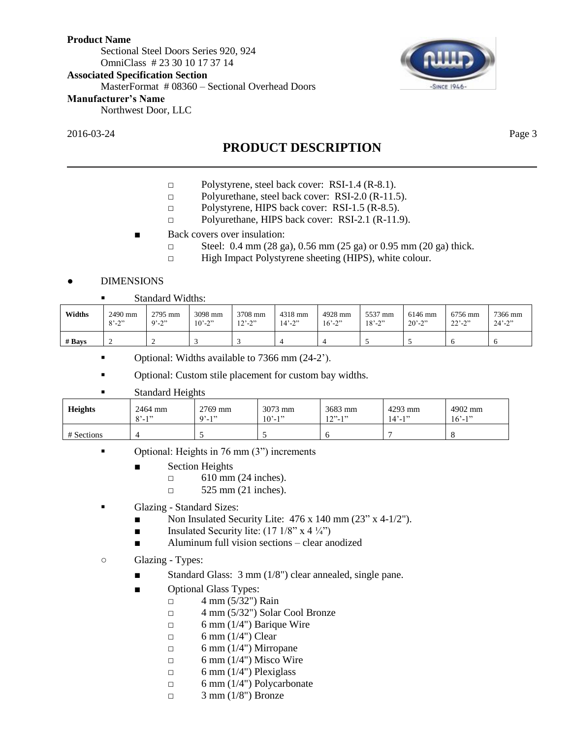

2016-03-24 Page 3

# **PRODUCT DESCRIPTION**

- □ Polystyrene, steel back cover: RSI-1.4 (R-8.1).
- □ Polyurethane, steel back cover: RSI-2.0 (R-11.5).
- □ Polystyrene, HIPS back cover: RSI-1.5 (R-8.5).
- □ Polyurethane, HIPS back cover: RSI-2.1 (R-11.9).
- Back covers over insulation:
	- □ Steel: 0.4 mm (28 ga), 0.56 mm (25 ga) or 0.95 mm (20 ga) thick.
	- □ High Impact Polystyrene sheeting (HIPS), white colour.

#### **DIMENSIONS**

■ Standard Widths:

| Widths   | 2490 mm                 | 2795 mm                 | 3098 mm                  | 3708 mm                      | 4318 mm     | 4928 mm    | 5537 mm    | 6146 mm    | 6756 mm     | 7366 mm     |
|----------|-------------------------|-------------------------|--------------------------|------------------------------|-------------|------------|------------|------------|-------------|-------------|
|          | $8^{\circ} - 2^{\circ}$ | $9^{\circ} - 2^{\circ}$ | $10^{\circ} - 2^{\circ}$ | $12^{\degree} - 2^{\degree}$ | $14' - 2''$ | $16' - 2"$ | $18' - 2"$ | $20' - 2"$ | $22' - 2''$ | $24' - 2''$ |
| $#$ Bays |                         |                         |                          |                              |             |            |            |            |             |             |

- Optional: Widths available to 7366 mm (24-2').
- Optional: Custom stile placement for custom bay widths.
- **Standard Heights**

| <b>Heights</b> | 2464 mm<br>$8^{\circ}$ -1" | $2769$ mm<br>$9' - 1''$ | $3073$ mm<br>$10^{\circ} - 1^{\circ}$ | 3683 mm<br>1222122<br>- 1<br>$\overline{1}$ | 4293 mm<br>$14' - 1''$ | 4902 mm<br>$16' - 1$ " |
|----------------|----------------------------|-------------------------|---------------------------------------|---------------------------------------------|------------------------|------------------------|
| # Sections     |                            |                         |                                       |                                             |                        |                        |

- Optional: Heights in 76 mm (3") increments
	- Section Heights
		- $\Box$  610 mm (24 inches).
		- □ 525 mm (21 inches).
- Glazing Standard Sizes:
	- Non Insulated Security Lite: 476 x 140 mm (23" x 4-1/2").
	- **■** Insulated Security lite:  $(17 \frac{1}{8} \times 4 \frac{1}{4})$
	- Aluminum full vision sections clear anodized
- Glazing Types:
	- Standard Glass: 3 mm (1/8") clear annealed, single pane.
	- Optional Glass Types:
		- $\Box$  4 mm (5/32") Rain
		- □ 4 mm (5/32") Solar Cool Bronze
		- $\Box$  6 mm (1/4") Barique Wire
		- $\Box$  6 mm (1/4") Clear
		- $\Box$  6 mm (1/4") Mirropane
		- $\Box$  6 mm (1/4") Misco Wire
		- $\Box$  6 mm (1/4") Plexiglass
		- $\Box$  6 mm (1/4") Polycarbonate
		- $\Box$  3 mm (1/8") Bronze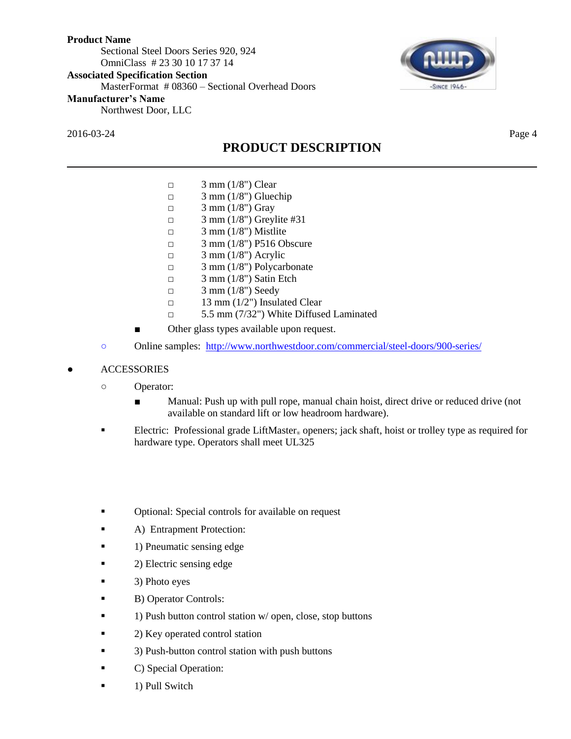

2016-03-24 Page 4

# **PRODUCT DESCRIPTION**

- $\Box$  3 mm (1/8") Clear
- $\Box$  3 mm (1/8") Gluechip
- $\Box$  3 mm (1/8") Gray
- $\Box$  3 mm (1/8") Greylite #31
- $\Box$  3 mm (1/8") Mistlite
- □ 3 mm (1/8") P516 Obscure
- $\Box$  3 mm (1/8") Acrylic
- $\Box$  3 mm (1/8") Polycarbonate
- $\Box$  3 mm (1/8") Satin Etch
- $\Box$  3 mm (1/8") Seedy
- $\Box$  13 mm (1/2") Insulated Clear
- □ 5.5 mm (7/32") White Diffused Laminated
- Other glass types available upon request.
- Online samples:<http://www.northwestdoor.com/commercial/steel-doors/900-series/>

### **ACCESSORIES**

- Operator:
	- Manual: Push up with pull rope, manual chain hoist, direct drive or reduced drive (not available on standard lift or low headroom hardware).
- Electric: Professional grade LiftMaster<sub>®</sub> openers; jack shaft, hoist or trolley type as required for hardware type. Operators shall meet UL325
- Optional: Special controls for available on request
- A) Entrapment Protection:
- $\blacksquare$  1) Pneumatic sensing edge
- 2) Electric sensing edge
- $\blacksquare$  3) Photo eyes
- B) Operator Controls:
- **1)** Push button control station w/ open, close, stop buttons
- 2) Key operated control station
- 3) Push-button control station with push buttons
- C) Special Operation:
- $\blacksquare$  1) Pull Switch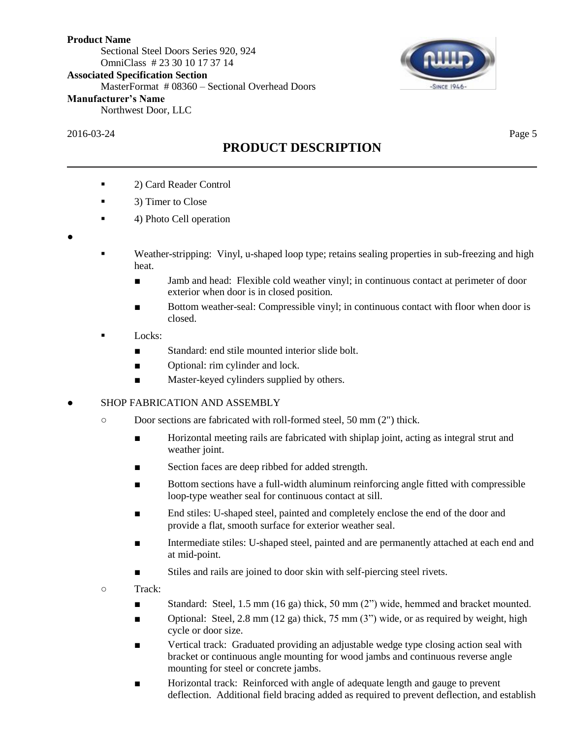

2016-03-24 Page 5

# **PRODUCT DESCRIPTION**

- 2) Card Reader Control
- 3) Timer to Close
- 4) Photo Cell operation
- ●
- Weather-stripping: Vinyl, u-shaped loop type; retains sealing properties in sub-freezing and high heat.
	- Jamb and head: Flexible cold weather vinyl; in continuous contact at perimeter of door exterior when door is in closed position.
	- Bottom weather-seal: Compressible vinyl; in continuous contact with floor when door is closed.
- Locks:
	- Standard: end stile mounted interior slide bolt.
	- Optional: rim cylinder and lock.
	- Master-keyed cylinders supplied by others.

## SHOP FABRICATION AND ASSEMBLY

- Door sections are fabricated with roll-formed steel, 50 mm (2") thick.
	- Horizontal meeting rails are fabricated with shiplap joint, acting as integral strut and weather joint.
	- Section faces are deep ribbed for added strength.
	- Bottom sections have a full-width aluminum reinforcing angle fitted with compressible loop-type weather seal for continuous contact at sill.
	- End stiles: U-shaped steel, painted and completely enclose the end of the door and provide a flat, smooth surface for exterior weather seal.
	- Intermediate stiles: U-shaped steel, painted and are permanently attached at each end and at mid-point.
	- Stiles and rails are joined to door skin with self-piercing steel rivets.
- Track:
	- Standard: Steel, 1.5 mm (16 ga) thick, 50 mm (2") wide, hemmed and bracket mounted.
	- **•** Optional: Steel, 2.8 mm (12 ga) thick, 75 mm (3") wide, or as required by weight, high cycle or door size.
	- Vertical track: Graduated providing an adjustable wedge type closing action seal with bracket or continuous angle mounting for wood jambs and continuous reverse angle mounting for steel or concrete jambs.
	- Horizontal track: Reinforced with angle of adequate length and gauge to prevent deflection. Additional field bracing added as required to prevent deflection, and establish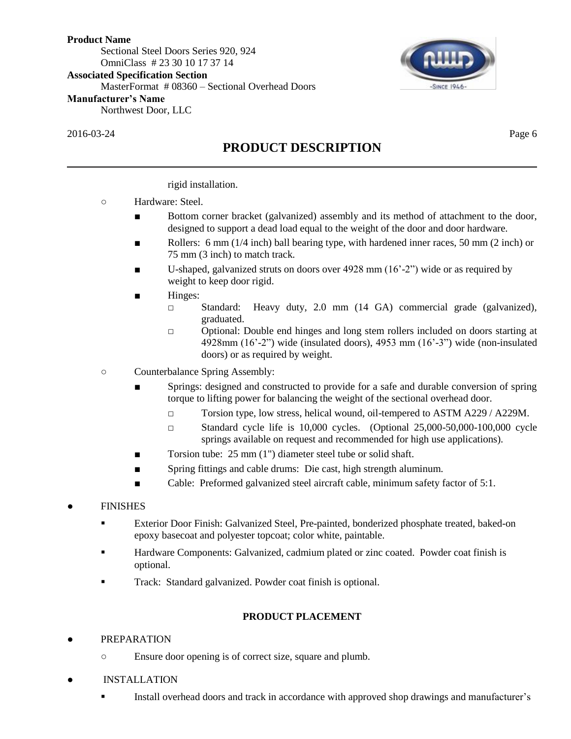

2016-03-24 Page 6

# **PRODUCT DESCRIPTION**

## rigid installation.

# ○ Hardware: Steel.

- Bottom corner bracket (galvanized) assembly and its method of attachment to the door, designed to support a dead load equal to the weight of the door and door hardware.
- Rollers: 6 mm  $(1/4$  inch) ball bearing type, with hardened inner races, 50 mm  $(2 \text{ inch})$  or 75 mm (3 inch) to match track.
- U-shaped, galvanized struts on doors over  $4928$  mm  $(16'-2")$  wide or as required by weight to keep door rigid.
- Hinges:
	- □ Standard: Heavy duty, 2.0 mm (14 GA) commercial grade (galvanized), graduated.
	- □ Optional: Double end hinges and long stem rollers included on doors starting at 4928mm (16'-2") wide (insulated doors), 4953 mm (16'-3") wide (non-insulated doors) or as required by weight.
- Counterbalance Spring Assembly:
	- Springs: designed and constructed to provide for a safe and durable conversion of spring torque to lifting power for balancing the weight of the sectional overhead door.
		- □ Torsion type, low stress, helical wound, oil-tempered to ASTM A229 / A229M.
		- $\Box$  Standard cycle life is 10,000 cycles. (Optional 25,000-50,000-100,000 cycle springs available on request and recommended for high use applications).
	- Torsion tube: 25 mm (1") diameter steel tube or solid shaft.
	- Spring fittings and cable drums: Die cast, high strength aluminum.
	- Cable: Preformed galvanized steel aircraft cable, minimum safety factor of 5:1.
- **FINISHES** 
	- Exterior Door Finish: Galvanized Steel, Pre-painted, bonderized phosphate treated, baked-on epoxy basecoat and polyester topcoat; color white, paintable.
	- **Hardware Components: Galvanized, cadmium plated or zinc coated. Powder coat finish is** optional.
	- Track: Standard galvanized. Powder coat finish is optional.

# **PRODUCT PLACEMENT**

- **PREPARATION** 
	- Ensure door opening is of correct size, square and plumb.
- INSTALLATION
	- Install overhead doors and track in accordance with approved shop drawings and manufacturer's